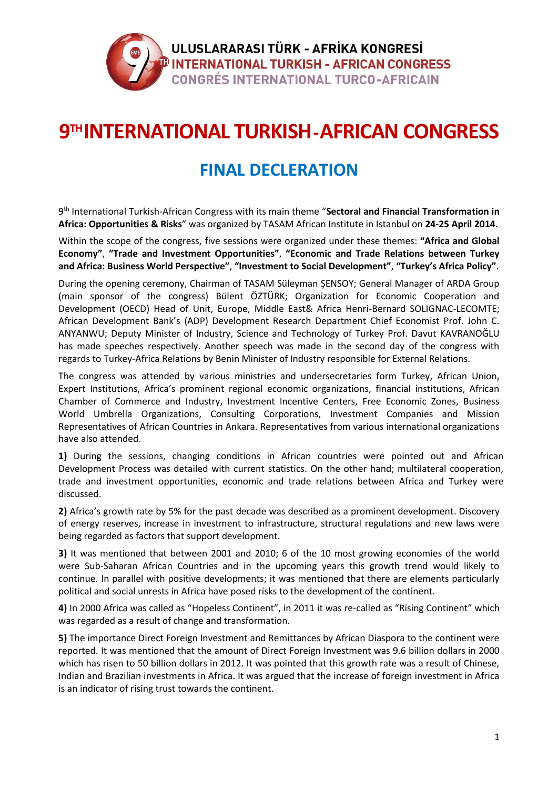

## **9 THINTERNATIONAL TURKISH-AFRICAN CONGRESS**

## **FINAL DECLERATION**

9 th International Turkish-African Congress with its main theme "**Sectoral and Financial Transformation in Africa: Opportunities & Risks**" was organized by TASAM African Institute in Istanbul on **24-25 April 2014**.

Within the scope of the congress, five sessions were organized under these themes: **"Africa and Global Economy"**, **"Trade and Investment Opportunities"**, **"Economic and Trade Relations between Turkey and Africa: Business World Perspective"**, **"Investment to Social Development"**, **"Turkey's Africa Policy"**.

During the opening ceremony, Chairman of TASAM Süleyman ŞENSOY; General Manager of ARDA Group (main sponsor of the congress) Bülent ÖZTÜRK; Organization for Economic Cooperation and Development (OECD) Head of Unit, Europe, Middle East& Africa Henri-Bernard SOLIGNAC-LECOMTE; African Development Bank's (ADP) Development Research Department Chief Economist Prof. John C. ANYANWU; Deputy Minister of Industry, Science and Technology of Turkey Prof. Davut KAVRANOĞLU has made speeches respectively. Another speech was made in the second day of the congress with regards to Turkey-Africa Relations by Benin Minister of Industry responsible for External Relations.

The congress was attended by various ministries and undersecretaries form Turkey, African Union, Expert Institutions, Africa's prominent regional economic organizations, financial institutions, African Chamber of Commerce and Industry, Investment Incentive Centers, Free Economic Zones, Business World Umbrella Organizations, Consulting Corporations, Investment Companies and Mission Representatives of African Countries in Ankara. Representatives from various international organizations have also attended.

**1)** During the sessions, changing conditions in African countries were pointed out and African Development Process was detailed with current statistics. On the other hand; multilateral cooperation, trade and investment opportunities, economic and trade relations between Africa and Turkey were discussed.

**2)** Africa's growth rate by 5% for the past decade was described as a prominent development. Discovery of energy reserves, increase in investment to infrastructure, structural regulations and new laws were being regarded as factors that support development.

**3)** It was mentioned that between 2001 and 2010; 6 of the 10 most growing economies of the world were Sub-Saharan African Countries and in the upcoming years this growth trend would likely to continue. In parallel with positive developments; it was mentioned that there are elements particularly political and social unrests in Africa have posed risks to the development of the continent.

**4)** In 2000 Africa was called as "Hopeless Continent", in 2011 it was re-called as "Rising Continent" which was regarded as a result of change and transformation.

**5)** The importance Direct Foreign Investment and Remittances by African Diaspora to the continent were reported. It was mentioned that the amount of Direct Foreign Investment was 9.6 billion dollars in 2000 which has risen to 50 billion dollars in 2012. It was pointed that this growth rate was a result of Chinese, Indian and Brazilian investments in Africa. It was argued that the increase of foreign investment in Africa is an indicator of rising trust towards the continent.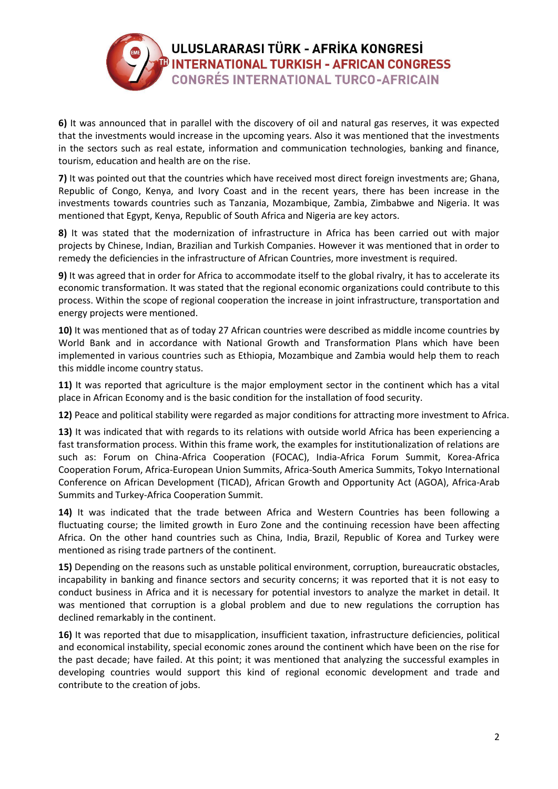

**6)** It was announced that in parallel with the discovery of oil and natural gas reserves, it was expected that the investments would increase in the upcoming years. Also it was mentioned that the investments in the sectors such as real estate, information and communication technologies, banking and finance, tourism, education and health are on the rise.

**7)** It was pointed out that the countries which have received most direct foreign investments are; Ghana, Republic of Congo, Kenya, and Ivory Coast and in the recent years, there has been increase in the investments towards countries such as Tanzania, Mozambique, Zambia, Zimbabwe and Nigeria. It was mentioned that Egypt, Kenya, Republic of South Africa and Nigeria are key actors.

**8)** It was stated that the modernization of infrastructure in Africa has been carried out with major projects by Chinese, Indian, Brazilian and Turkish Companies. However it was mentioned that in order to remedy the deficiencies in the infrastructure of African Countries, more investment is required.

**9)** It was agreed that in order for Africa to accommodate itself to the global rivalry, it has to accelerate its economic transformation. It was stated that the regional economic organizations could contribute to this process. Within the scope of regional cooperation the increase in joint infrastructure, transportation and energy projects were mentioned.

**10)** It was mentioned that as of today 27 African countries were described as middle income countries by World Bank and in accordance with National Growth and Transformation Plans which have been implemented in various countries such as Ethiopia, Mozambique and Zambia would help them to reach this middle income country status.

**11)** It was reported that agriculture is the major employment sector in the continent which has a vital place in African Economy and is the basic condition for the installation of food security.

**12)** Peace and political stability were regarded as major conditions for attracting more investment to Africa.

**13)** It was indicated that with regards to its relations with outside world Africa has been experiencing a fast transformation process. Within this frame work, the examples for institutionalization of relations are such as: Forum on China-Africa Cooperation (FOCAC), India-Africa Forum Summit, Korea-Africa Cooperation Forum, Africa-European Union Summits, Africa-South America Summits, Tokyo International Conference on African Development (TICAD), African Growth and Opportunity Act (AGOA), Africa-Arab Summits and Turkey-Africa Cooperation Summit.

**14)** It was indicated that the trade between Africa and Western Countries has been following a fluctuating course; the limited growth in Euro Zone and the continuing recession have been affecting Africa. On the other hand countries such as China, India, Brazil, Republic of Korea and Turkey were mentioned as rising trade partners of the continent.

**15)** Depending on the reasons such as unstable political environment, corruption, bureaucratic obstacles, incapability in banking and finance sectors and security concerns; it was reported that it is not easy to conduct business in Africa and it is necessary for potential investors to analyze the market in detail. It was mentioned that corruption is a global problem and due to new regulations the corruption has declined remarkably in the continent.

**16)** It was reported that due to misapplication, insufficient taxation, infrastructure deficiencies, political and economical instability, special economic zones around the continent which have been on the rise for the past decade; have failed. At this point; it was mentioned that analyzing the successful examples in developing countries would support this kind of regional economic development and trade and contribute to the creation of jobs.